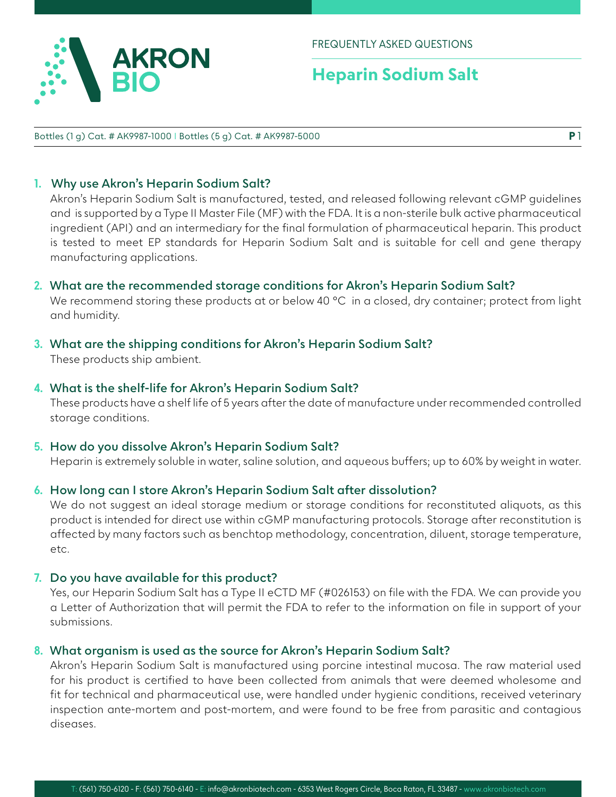

# **Heparin Sodium Salt**

Bottles (1 g) Cat. # AK9987-1000 I Bottles (5 g) Cat. # AK9987-5000

### **1. Why use Akron's Heparin Sodium Salt?**

Akron's Heparin Sodium Salt is manufactured, tested, and released following relevant cGMP guidelines and is supported by a Type II Master File (MF) with the FDA. It is a non-sterile bulk active pharmaceutical ingredient (API) and an intermediary for the final formulation of pharmaceutical heparin. This product is tested to meet EP standards for Heparin Sodium Salt and is suitable for cell and gene therapy manufacturing applications.

### **2. What are the recommended storage conditions for Akron's Heparin Sodium Salt?**

We recommend storing these products at or below 40 °C in a closed, dry container; protect from light and humidity.

## **3. What are the shipping conditions for Akron's Heparin Sodium Salt?**

These products ship ambient.

### **4. What is the shelf-life for Akron's Heparin Sodium Salt?**

These products have a shelf life of 5 years after the date of manufacture under recommended controlled storage conditions.

#### **5. How do you dissolve Akron's Heparin Sodium Salt?**

Heparin is extremely soluble in water, saline solution, and aqueous buffers; up to 60% by weight in water.

#### **6. How long can I store Akron's Heparin Sodium Salt after dissolution?**

We do not suggest an ideal storage medium or storage conditions for reconstituted aliquots, as this product is intended for direct use within cGMP manufacturing protocols. Storage after reconstitution is affected by many factors such as benchtop methodology, concentration, diluent, storage temperature, etc.

#### **7. Do you have available for this product?**

Yes, our Heparin Sodium Salt has a Type II eCTD MF (#026153) on file with the FDA. We can provide you a Letter of Authorization that will permit the FDA to refer to the information on file in support of your submissions.

#### **8. What organism is used as the source for Akron's Heparin Sodium Salt?**

Akron's Heparin Sodium Salt is manufactured using porcine intestinal mucosa. The raw material used for his product is certified to have been collected from animals that were deemed wholesome and fit for technical and pharmaceutical use, were handled under hygienic conditions, received veterinary inspection ante-mortem and post-mortem, and were found to be free from parasitic and contagious diseases.

**P** 1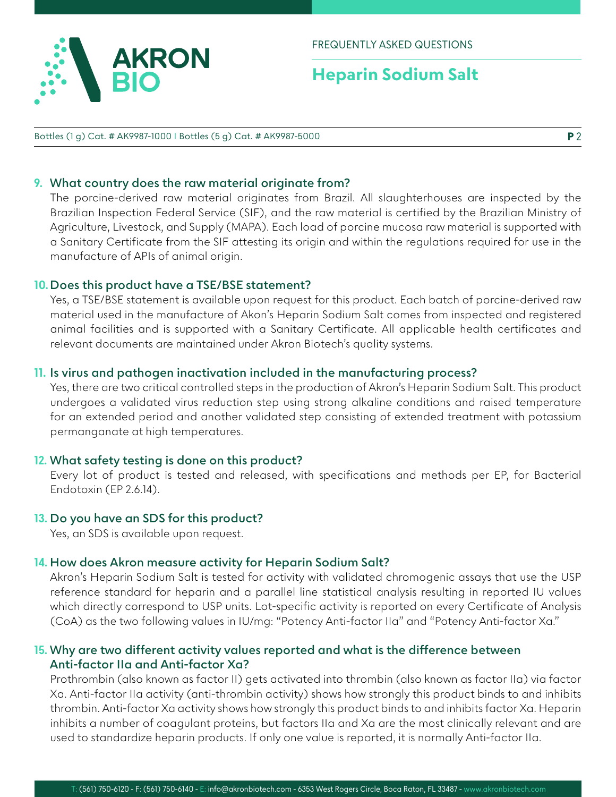

# **Heparin Sodium Salt**

#### Bottles (1 g) Cat. # AK9987-1000 I Bottles (5 g) Cat. # AK9987-5000

## **9. What country does the raw material originate from?**

The porcine-derived raw material originates from Brazil. All slaughterhouses are inspected by the Brazilian Inspection Federal Service (SIF), and the raw material is certified by the Brazilian Ministry of Agriculture, Livestock, and Supply (MAPA). Each load of porcine mucosa raw material is supported with a Sanitary Certificate from the SIF attesting its origin and within the regulations required for use in the manufacture of APIs of animal origin.

## **10. Does this product have a TSE/BSE statement?**

Yes, a TSE/BSE statement is available upon request for this product. Each batch of porcine-derived raw material used in the manufacture of Akon's Heparin Sodium Salt comes from inspected and registered animal facilities and is supported with a Sanitary Certificate. All applicable health certificates and relevant documents are maintained under Akron Biotech's quality systems.

# **11. Is virus and pathogen inactivation included in the manufacturing process?**

Yes, there are two critical controlled steps in the production of Akron's Heparin Sodium Salt. This product undergoes a validated virus reduction step using strong alkaline conditions and raised temperature for an extended period and another validated step consisting of extended treatment with potassium permanganate at high temperatures.

# **12. What safety testing is done on this product?**

Every lot of product is tested and released, with specifications and methods per EP, for Bacterial Endotoxin (EP 2.6.14).

# **13. Do you have an SDS for this product?**

Yes, an SDS is available upon request.

# **14. How does Akron measure activity for Heparin Sodium Salt?**

Akron's Heparin Sodium Salt is tested for activity with validated chromogenic assays that use the USP reference standard for heparin and a parallel line statistical analysis resulting in reported IU values which directly correspond to USP units. Lot-specific activity is reported on every Certificate of Analysis (CoA) as the two following values in IU/mg: "Potency Anti-factor IIa" and "Potency Anti-factor Xa."

## **15. Why are two different activity values reported and what is the difference between Anti-factor IIa and Anti-factor Xa?**

Prothrombin (also known as factor II) gets activated into thrombin (also known as factor IIa) via factor Xa. Anti-factor IIa activity (anti-thrombin activity) shows how strongly this product binds to and inhibits thrombin. Anti-factor Xa activity shows how strongly this product binds to and inhibits factor Xa. Heparin inhibits a number of coagulant proteins, but factors IIa and Xa are the most clinically relevant and are used to standardize heparin products. If only one value is reported, it is normally Anti-factor IIa.

**P** 2